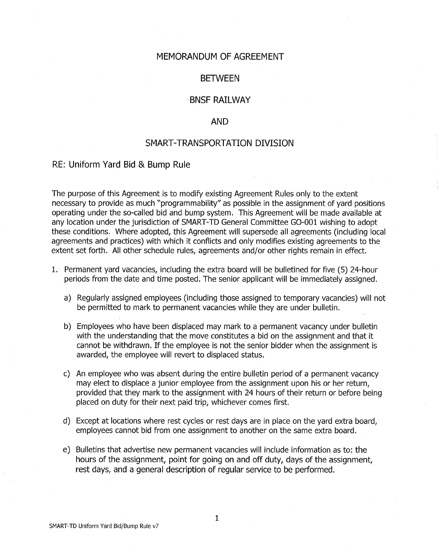#### MEMORANDUM OF AGREEMENT

#### BETWEEN

### BNSF RAILWAY

#### AND

### SMART-TRANSPORTATION DIVISION

#### RE: Uniform Yard Bid & Bump Rule

The purpose of this Agreement is to modify existing Agreement Rules only to the extent necessary to provide as much "programmability" as possible in the assignment of yard positions operating under the so-called bid and bump system. This Agreement will be made available at any location under the jurisdiction of SMART-TD General Committee G0-001 wishing to adopt these conditions. Where adopted, this Agreement will supersede all agreements (including local agreements and practices) with which it conflicts and only modifies existing agreements to the extent set forth. All other schedule rules, agreements and/or other rights remain in effect.

- 1. Permanent yard vacancies, including the extra board will be bulletined for five (5) 24-hour periods from the date and time posted. The senior applicant will be immediately assigned.
	- a) Regularly assigned employees (including those assigned to temporary vacancies) will not be permitted to mark to permanent vacancies while they are under bulletin.
	- b) Employees who have been displaced may mark to a permanent vacancy under bulletin with the understanding that the move constitutes a bid on the assignment and that it cannot be withdrawn. If the employee is not the senior bidder when the assignment is awarded, the employee will revert to displaced status.
	- c) An employee who was absent during the entire bulletin period of a permanent vacancy may elect to displace a junior employee from the assignment upon his or her return, provided that they mark to the assignment with 24 hours of their return or before being placed on duty for their next paid trip, whichever comes first.
	- d) Except at locations where rest cycles or rest days are in place on the yard extra board, employees cannot bid from one assignment to another on the same extra board.
	- e) Bulletins that advertise new permanent vacancies will include information as to: the hours of the assignment, point for going on and off duty, days of the assignment, rest days, and a general description of regular service to be performed.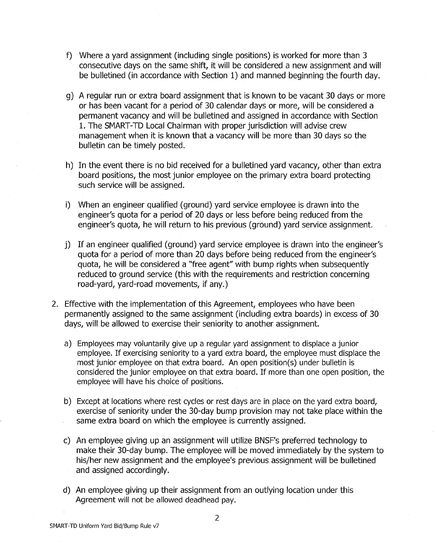- f) Where a yard assignment (including single positions) is worked for more than 3 consecutive days on the same shift, it will be considered a new assignment and will be bulletined (in accordance with Section 1) and manned beginning the fourth day.
- g) A regular run or extra board assignment that is known to be vacant 30 days or more or has been vacant for a period of 30 calendar days or more, will be considered a permanent vacancy and will be bulletined and assigned in accordance with Section 1. The SMART-TD Local Chairman with proper jurisdiction will advise crew management when it is known that a vacancy will be more than 30 days so the bulletin can be timely posted.
- h) In the event there is no bid received for a bulletined yard vacancy, other than extra board positions, the most junior employee on the primary extra board protecting such service will be assigned.
- i) When an engineer qualified (ground) yard service employee is drawn into the engineer's quota for a period of 20 days or less before being reduced from the engineer's quota, he will return to his previous (ground) yard service assignment.
- j) If an engineer qualified (ground) yard service employee is drawn into the engineer's quota for a period of more than 20 days before being reduced from the engineer's quota, he will be considered a "free agent" with bump rights when subsequently reduced to ground service (this with the requirements and restriction concerning road-yard, yard-road movements, if any.)
- 2. Effective with the implementation of this Agreement, employees who have been permanently assigned to the same assignment (including extra boards) in excess of 30 days, will be allowed to exercise their seniority to another assignment.
	- a) Employees may voluntarily give up a regular yard assignment to displace a junior employee. If exercising seniority to a yard extra board, the employee must displace the most junior employee on that extra board. An open position(s) under bulletin is considered the junior employee on that extra board. If more than one open position, the employee will have his choice of positions.
	- b) Except at locations where rest cycles or rest days are in place on the yard extra board, exercise of seniority under the 30-day bump provision may not take place within the same extra board on which the employee is currently assigned.
	- c) An employee giving up an assignment will utilize BNSF's preferred technology to make their 30-day bump. The employee will be moved immediately by the system to his/her new assignment and the employee's previous assignment will be bulletined and assigned accordingly.
	- d) An employee giving up their assignment from an outlying location under this Agreement will not be allowed deadhead pay.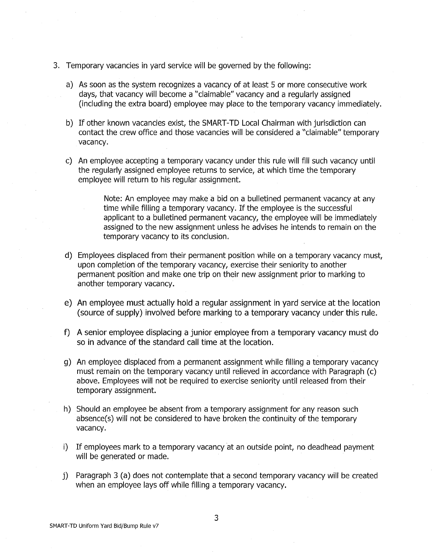- 3. Temporary vacancies in yard service will be governed by the following:
	- a) As soon as the system recognizes a vacancy of at least 5 or more consecutive work days, that vacancy will become a "claimable" vacancy and a regularly assigned (including the extra board) employee may place to the temporary vacancy immediately.
	- b) If other known vacancies exist, the SMART-TD Local Chairman with jurisdiction can contact the crew office and those vacancies will be considered a "claimable" temporary vacancy.
	- c) An employee accepting a temporary vacancy under this rule will fill such vacancy until the regularly assigned employee returns to service, at which time the temporary employee will return to his regular assignment.

Note: An employee may make a bid on a bulletined permanent vacancy at any time while filling a temporary vacancy. If the employee is the successful applicant to a bulletined permanent vacancy, the employee will be immediately assigned to the new assignment unless he advises he intends to remain on the temporary vacancy to its conclusion.

- d) Employees displaced from their permanent position while on a temporary vacancy must, upon completion of the temporary vacancy, exercise their seniority to another permanent position and make one trip on their new assignment prior to marking to another temporary vacancy.
- e) An employee must actually hold a regular assignment in yard service at the location (source of supply) involved before marking to a temporary vacancy under this rule.
- f) A senior employee displacing a junior employee from a temporary vacancy must do so in advance of the standard call time at the location.
- g) An employee displaced from a permanent assignment while filling a temporary vacancy must remain on the temporary vacancy until relieved in accordance with Paragraph (c) above. Employees will not be required to exercise seniority until released from their temporary assignment.
- h) Should an employee be absent from a temporary assignment for any reason such absence(s) will not be considered to have broken the continuity of the temporary vacancy.
- i) If employees mark to a temporary vacancy at an outside point, no deadhead payment will be generated or made.
- j) Paragraph 3 (a) does not contemplate that a second temporary vacancy will be created when an employee lays off while filling a temporary vacancy.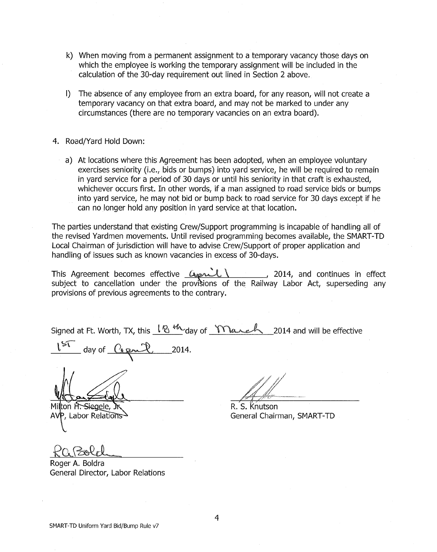- k) When moving from a permanent assignment to a temporary vacancy those days on which the employee is working the temporary assignment will be included in the calculation of the 30-day requirement out lined in Section 2 above.
- I) The absence of any employee from an extra board, for any reason, will not create a temporary vacancy on that extra board, and may not be marked to under any circumstances (there are no temporary vacancies on an extra board).
- 4. Road/Yard Hold Down:
	- a) At locations where this Agreement has been adopted, when an employee voluntary exercises seniority (i.e., bids or bumps) into yard service, he will be required to remain in yard service for a period of 30 days or until his seniority in that craft is exhausted, whichever occurs first. In other words, if a man assigned to road service bids or bumps into yard service, he may not bid or bump back to road service for 30 days except if he can no longer hold any position in yard service at that location.

The parties understand that existing Crew/Support programming is incapable of handling all of the revised Yardmen movements. Until revised programming becomes available, the SMART-TD Local Chairman of jurisdiction will have to advise Crew/Support of proper application and handling of issues such as known vacancies in excess of 30-days.

handling of issues such as known vacancies in excess of 30-days.<br>This Agreement becomes effective  $\frac{C_{\text{M}}}{\text{M}}$ , 2014, and continues in effect subject to cancellation under the provisions of the Railway Labor Act, superseding any provisions of previous agreements to the contrary.

Signed at Ft. Worth, TX, this  $\frac{1}{8}$   $\frac{1}{8}$  day of  $\frac{1}{10}$   $\frac{1}{4}$  2014 and will be effective

day of  $O(\rho m^2)$  2014.

ton H. Siegele, Mil AVP, Labor Relations

R. S. Knutson General Chairman, SMART-TD

Roger A. Boldra General Director, Labor Relations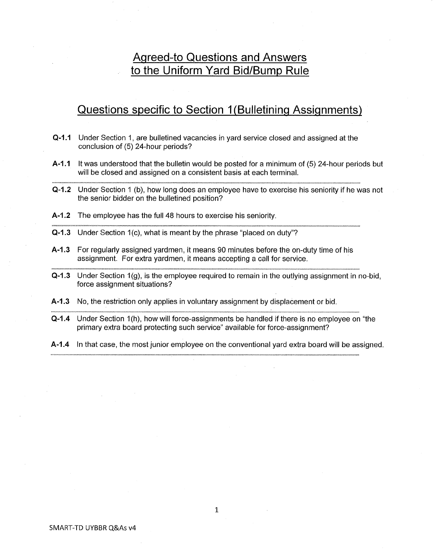# **Agreed-to Questions and Answers to the Uniform Yard Bid/Bump Rule**

## **Questions specific to Section 1 (Bulletining Assignments)**

- **Q-1.1** Under Section 1, are bulletined vacancies in yard service closed and assigned at the conclusion of (5) 24-hour periods?
- **A-1.1** It was understood that the bulletin would be posted for a minimum of (5) 24-hour periods but will be closed and assigned on a consistent basis at each terminal.
- **Q-1.2** Under Section 1 (b), how long does an employee have to exercise his seniority if he was not the senior bidder on the bulletined position?
- **A-1.2** The employee has the full 48 hours to exercise his seniority.
- **Q-1.3** Under Section 1(c), what is meant by the phrase "placed on duty"?
- **A-1.3** For regularly assigned yardmen, it means 90 minutes before the on-duty time of his assignment. For extra yardmen, it means accepting a call for service.
- **Q-1.3** Under Section 1(g), is the employee required to remain in the outlying assignment in no-bid, force assignment situations?
- **A-1.3** No, the restriction only applies in voluntary assignment by displacement or bid.
- **Q-1.4** Under Section 1 (h), how will force-assignments be handled if there is no employee on "the primary extra board protecting such service" available for force-assignment?
- **A-1.4** In that case, the most junior employee on the conventional yard extra board will be assigned.

1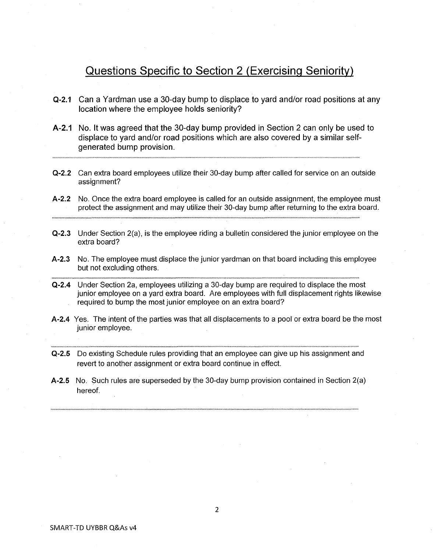## Questions Specific to Section 2 (Exercising Seniority)

- Q-2.1 Can a Yardman use a 30-day bump to displace to yard and/or road positions at any location where the employee holds seniority?
- A-2.1 No. It was agreed that the 30-day bump provided in Section 2 can only be used to displace to yard and/or road positions which are also covered by a similar selfgenerated bump provision.
- Q-2.2 Can extra board employees utilize their 30-day bump after called for service on an outside assignment?
- A-2.2 No. Once the extra board employee is called for an outside assignment, the employee must protect the assignment and may utilize their 30-day bump after returning to the extra board.
- Q-2.3 Under Section 2(a), is the employee riding a bulletin considered the junior employee on the extra board?
- A-2.3 No. The employee must displace the junior yardman on that board including this employee but not excluding others.
- Q-2.4 Under Section 2a, employees utilizing a 30-day bump are required to displace the most junior employee on a yard extra board. Are employees with full displacement rights likewise required to bump the most junior employee on an extra board?
- A-2.4 Yes. The intent of the parties was that all displacements to a pool or extra board be the most junior employee.
- Q-2.5 Do existing Schedule rules providing that an employee can give up his assignment and revert to another assignment or extra board continue in effect.
- A-2.5 No. Such rules are superseded by the 30-day bump provision contained in Section 2(a) hereof.

SMART-TD UVBBR Q&As v4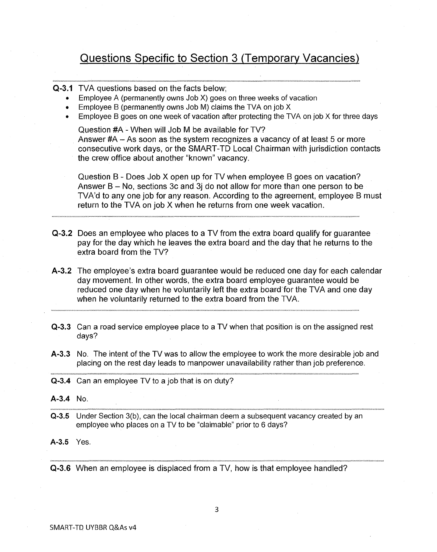# **Questions Specific to Section 3 (Temporary Vacancies)**

**Q-3.1** TVA questions based on the facts below;

- Employee A (permanently owns Job X) goes on three weeks of vacation
- Employee B (permanently owns Job M) claims the TVA on job X
- Employee B goes on one week of vacation after protecting the TVA on job X for three days

Question #A - When will Job M be available for TV? Answer #A - As soon as the system recognizes a vacancy of at least 5 or more consecutive work days, or the SMART-TD Local. Chairman with jurisdiction contacts the crew office about another "known" vacancy.

Question B - Does Job X open up for TV when employee B goes on vacation? Answer  $B - No$ , sections 3c and 3j do not allow for more than one person to be TVA'd to any one job for any reason. According to the agreement, employee B must return to the TVA on job X when he returns from one week vacation.

- **Q-3.2** Does an employee who places to a TV from the extra board qualify for guarantee pay for the day which he leaves the extra board and the day that he returns to the extra board from the TV?
- **A-3.2** The employee's extra board guarantee would be reduced one day for each calendar day movement. In other words, the extra board employee guarantee would be reduced one day when he voluntarily left the extra board for the TVA and one day when he voluntarily returned to the extra board from the TVA.
- **Q-3.3** Can a road service employee place to a TV when that position is on the assigned rest days?
- **A-3.3** No. The intent of the TV was to allow the employee to work the more desirable job and placing on the rest day leads to manpower unavailability rather than job preference.
- **Q-3.4** Can an employee TV to a job that is on duty?
- **A-3.4** No.
- **Q-3.5** Under Section 3(b), can the local chairman deem a subsequent vacancy created by an employee who places on a TV to be "claimable" prior to 6 days?

**A-3.5** Yes.

**Q-3.6** When an employee is displaced from a TV, how is that employee handled?

3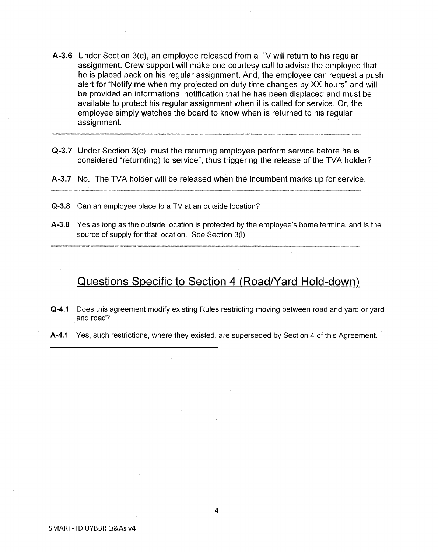- **A-3.6** Under Section 3(c), an employee released from a TV will return to his regular assignment. Crew support will make one courtesy call to advise the employee that he is placed back on his regular assignment. And, the employee can request a push alert for "Notify me when my projected on duty time changes by XX hours" and will be provided an informational notification that he has been displaced and must be available to protect his regular assignment when it is called for service. Or, the employee simply watches the board to know when is returned to his regular assignment.
- **Q-3.7** Under Section 3(c), must the returning employee perform service before he is considered "return(ing) to service", thus triggering the release of the TVA holder?
- **A-3.7** No. The TVA holder will be released when the incumbent marks up for service.
- **Q-3.8** Can an employee place to a TV at an outside location?
- **A-3.8** Yes as long as the outside location is protected by the employee's home terminal and is the source of supply for that location. See Section 3(1).

**Questions Specific to Section 4 (Road/Yard Hold-down)** 

- **Q-4.1** Does this agreement modify existing Rules restricting moving between road and yard or yard and road?
- **A-4.1** Yes, such restrictions, where they existed, are superseded by Section 4 of this Agreement.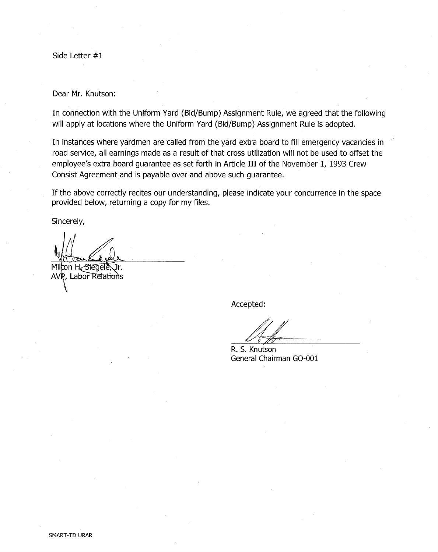Side Letter #1

Dear Mr. Knutson:

In connection with the Uniform Yard (Bid/Bump) Assignment Rule, we agreed that the following will apply at locations where the Uniform Yard (Bid/Bump) Assignment Rule is adopted.

In instances where yardmen are called from the yard extra board to fill emergency vacancies in road service, all earnings made as a result of that cross utilization will not be used to offset the employee's extra board guarantee as set forth in Article III of the November 1, 1993 Crew Consist Agreement and is payable over and above such guarantee.

If the above correctly recites our understanding, please indicate your concurrence in the space provided below, returning a copy for my files.

Sincerely,

Milton H Stegele, Jr. AVR, Labor Relations

Accepted:

R. S. Knutson General Chairman G0-001